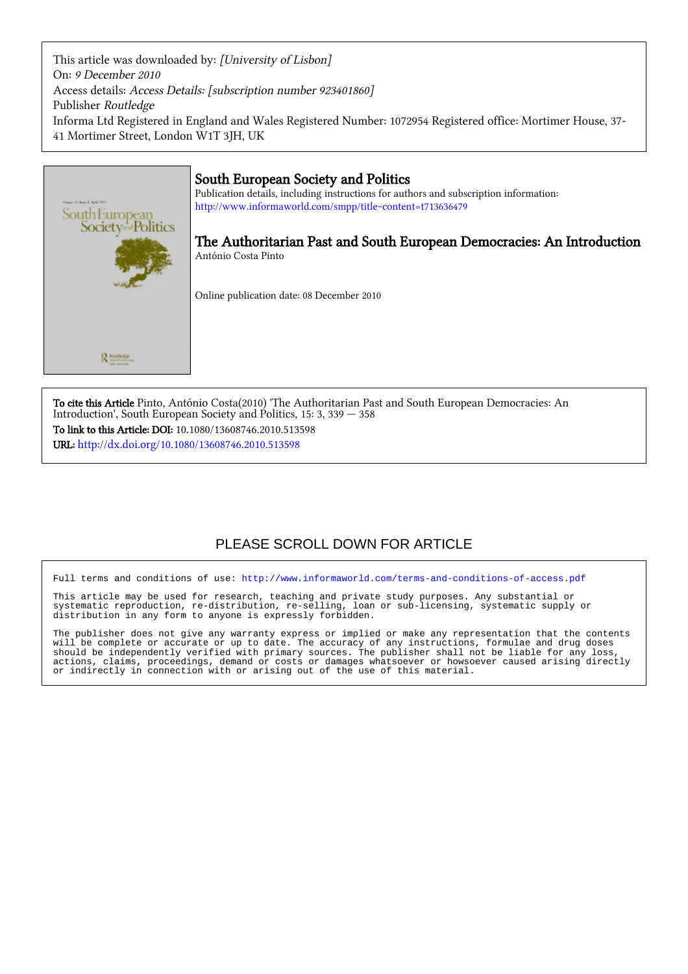This article was downloaded by: [University of Lisbon] On: 9 December 2010 Access details: Access Details: [subscription number 923401860] Publisher Routledge Informa Ltd Registered in England and Wales Registered Number: 1072954 Registered office: Mortimer House, 37- 41 Mortimer Street, London W1T 3JH, UK



To cite this Article Pinto, António Costa(2010) 'The Authoritarian Past and South European Democracies: An Introduction', South European Society and Politics, 15: 3, 339 — 358 To link to this Article: DOI: 10.1080/13608746.2010.513598 URL: <http://dx.doi.org/10.1080/13608746.2010.513598>

## PLEASE SCROLL DOWN FOR ARTICLE

Full terms and conditions of use:<http://www.informaworld.com/terms-and-conditions-of-access.pdf>

This article may be used for research, teaching and private study purposes. Any substantial or systematic reproduction, re-distribution, re-selling, loan or sub-licensing, systematic supply or distribution in any form to anyone is expressly forbidden.

The publisher does not give any warranty express or implied or make any representation that the contents will be complete or accurate or up to date. The accuracy of any instructions, formulae and drug doses should be independently verified with primary sources. The publisher shall not be liable for any loss, actions, claims, proceedings, demand or costs or damages whatsoever or howsoever caused arising directly or indirectly in connection with or arising out of the use of this material.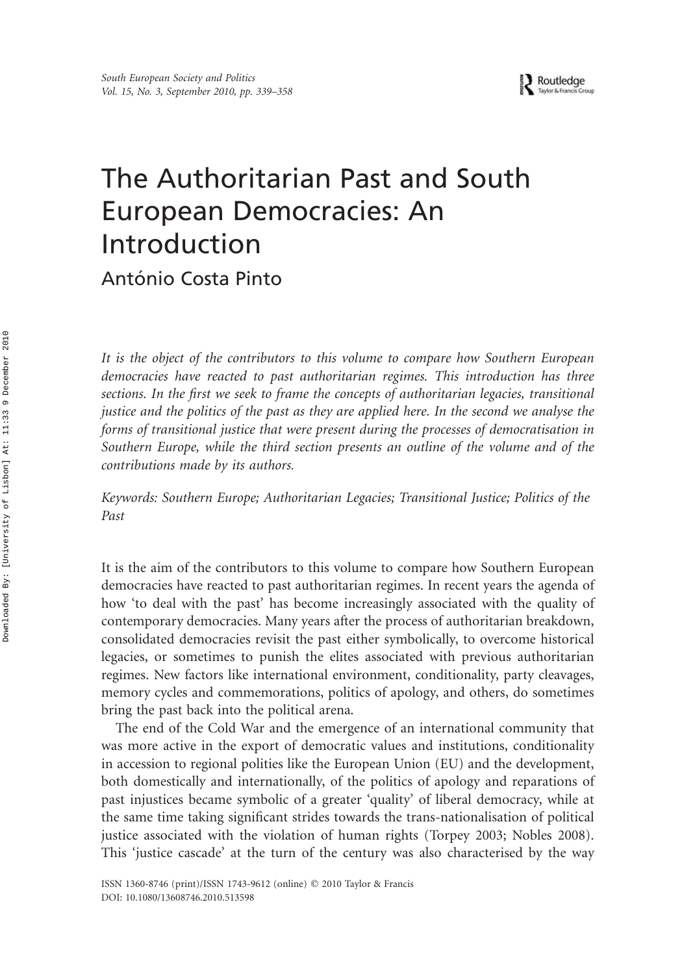# The Authoritarian Past and South European Democracies: An Introduction António Costa Pinto

It is the object of the contributors to this volume to compare how Southern European democracies have reacted to past authoritarian regimes. This introduction has three sections. In the first we seek to frame the concepts of authoritarian legacies, transitional justice and the politics of the past as they are applied here. In the second we analyse the forms of transitional justice that were present during the processes of democratisation in Southern Europe, while the third section presents an outline of the volume and of the contributions made by its authors.

Keywords: Southern Europe; Authoritarian Legacies; Transitional Justice; Politics of the Past

It is the aim of the contributors to this volume to compare how Southern European democracies have reacted to past authoritarian regimes. In recent years the agenda of how 'to deal with the past' has become increasingly associated with the quality of contemporary democracies. Many years after the process of authoritarian breakdown, consolidated democracies revisit the past either symbolically, to overcome historical legacies, or sometimes to punish the elites associated with previous authoritarian regimes. New factors like international environment, conditionality, party cleavages, memory cycles and commemorations, politics of apology, and others, do sometimes bring the past back into the political arena.

The end of the Cold War and the emergence of an international community that was more active in the export of democratic values and institutions, conditionality in accession to regional polities like the European Union (EU) and the development, both domestically and internationally, of the politics of apology and reparations of past injustices became symbolic of a greater 'quality' of liberal democracy, while at the same time taking significant strides towards the trans-nationalisation of political justice associated with the violation of human rights (Torpey 2003; Nobles 2008). This 'justice cascade' at the turn of the century was also characterised by the way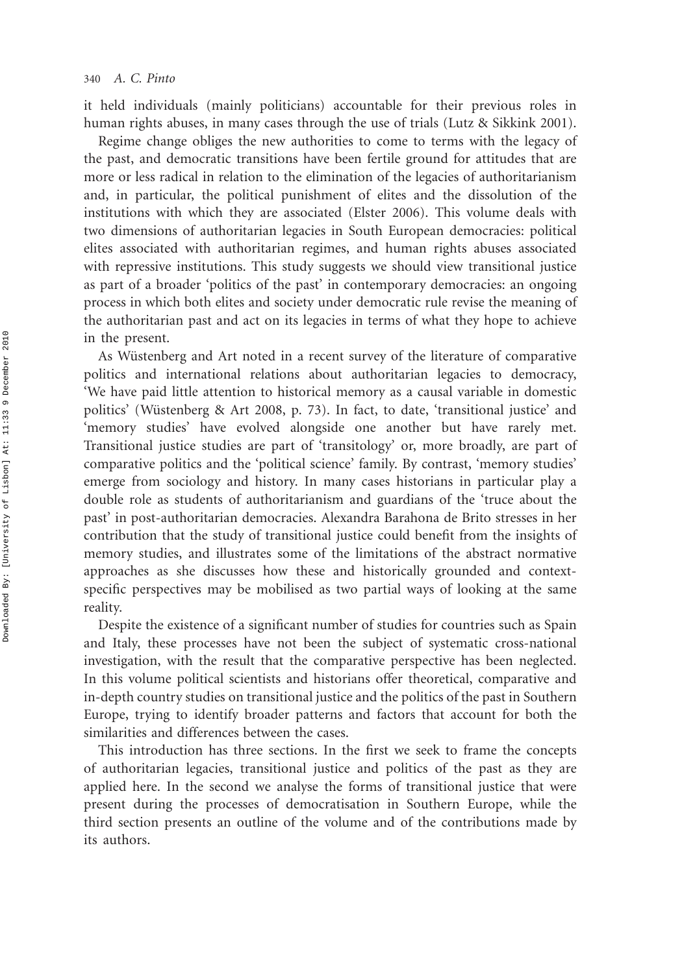it held individuals (mainly politicians) accountable for their previous roles in human rights abuses, in many cases through the use of trials (Lutz & Sikkink 2001).

Regime change obliges the new authorities to come to terms with the legacy of the past, and democratic transitions have been fertile ground for attitudes that are more or less radical in relation to the elimination of the legacies of authoritarianism and, in particular, the political punishment of elites and the dissolution of the institutions with which they are associated (Elster 2006). This volume deals with two dimensions of authoritarian legacies in South European democracies: political elites associated with authoritarian regimes, and human rights abuses associated with repressive institutions. This study suggests we should view transitional justice as part of a broader 'politics of the past' in contemporary democracies: an ongoing process in which both elites and society under democratic rule revise the meaning of the authoritarian past and act on its legacies in terms of what they hope to achieve in the present.

As Wüstenberg and Art noted in a recent survey of the literature of comparative politics and international relations about authoritarian legacies to democracy, 'We have paid little attention to historical memory as a causal variable in domestic politics' (Wüstenberg & Art 2008, p. 73). In fact, to date, 'transitional justice' and 'memory studies' have evolved alongside one another but have rarely met. Transitional justice studies are part of 'transitology' or, more broadly, are part of comparative politics and the 'political science' family. By contrast, 'memory studies' emerge from sociology and history. In many cases historians in particular play a double role as students of authoritarianism and guardians of the 'truce about the past' in post-authoritarian democracies. Alexandra Barahona de Brito stresses in her contribution that the study of transitional justice could benefit from the insights of memory studies, and illustrates some of the limitations of the abstract normative approaches as she discusses how these and historically grounded and contextspecific perspectives may be mobilised as two partial ways of looking at the same reality.

Despite the existence of a significant number of studies for countries such as Spain and Italy, these processes have not been the subject of systematic cross-national investigation, with the result that the comparative perspective has been neglected. In this volume political scientists and historians offer theoretical, comparative and in-depth country studies on transitional justice and the politics of the past in Southern Europe, trying to identify broader patterns and factors that account for both the similarities and differences between the cases.

This introduction has three sections. In the first we seek to frame the concepts of authoritarian legacies, transitional justice and politics of the past as they are applied here. In the second we analyse the forms of transitional justice that were present during the processes of democratisation in Southern Europe, while the third section presents an outline of the volume and of the contributions made by its authors.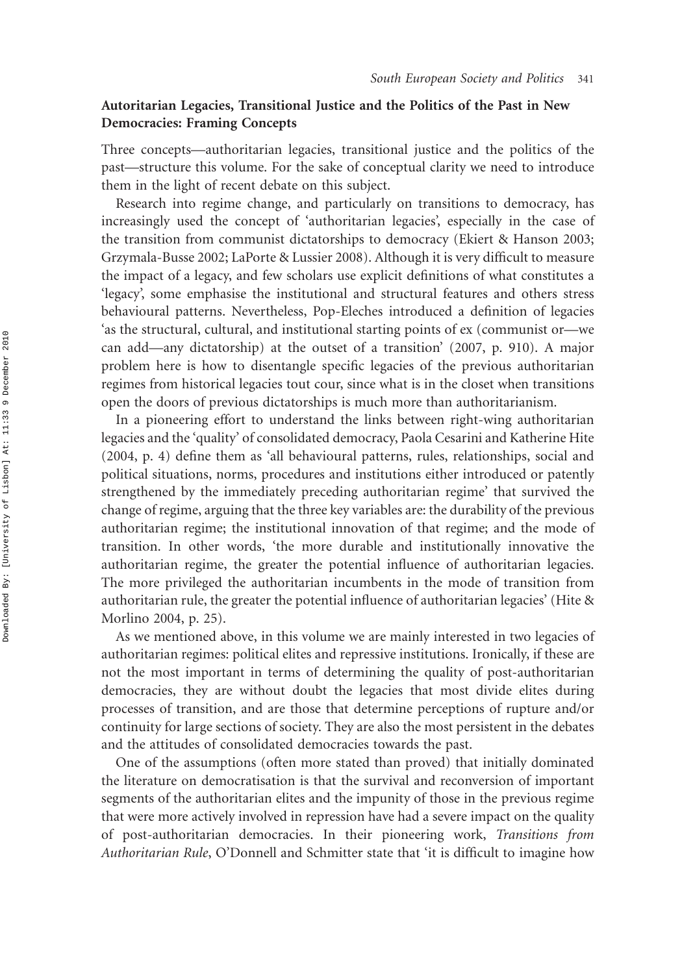### Autoritarian Legacies, Transitional Justice and the Politics of the Past in New Democracies: Framing Concepts

Three concepts—authoritarian legacies, transitional justice and the politics of the past—structure this volume. For the sake of conceptual clarity we need to introduce them in the light of recent debate on this subject.

Research into regime change, and particularly on transitions to democracy, has increasingly used the concept of 'authoritarian legacies', especially in the case of the transition from communist dictatorships to democracy (Ekiert & Hanson 2003; Grzymala-Busse 2002; LaPorte & Lussier 2008). Although it is very difficult to measure the impact of a legacy, and few scholars use explicit definitions of what constitutes a 'legacy', some emphasise the institutional and structural features and others stress behavioural patterns. Nevertheless, Pop-Eleches introduced a definition of legacies 'as the structural, cultural, and institutional starting points of ex (communist or—we can add—any dictatorship) at the outset of a transition' (2007, p. 910). A major problem here is how to disentangle specific legacies of the previous authoritarian regimes from historical legacies tout cour, since what is in the closet when transitions open the doors of previous dictatorships is much more than authoritarianism.

In a pioneering effort to understand the links between right-wing authoritarian legacies and the 'quality' of consolidated democracy, Paola Cesarini and Katherine Hite (2004, p. 4) define them as 'all behavioural patterns, rules, relationships, social and political situations, norms, procedures and institutions either introduced or patently strengthened by the immediately preceding authoritarian regime' that survived the change of regime, arguing that the three key variables are: the durability of the previous authoritarian regime; the institutional innovation of that regime; and the mode of transition. In other words, 'the more durable and institutionally innovative the authoritarian regime, the greater the potential influence of authoritarian legacies. The more privileged the authoritarian incumbents in the mode of transition from authoritarian rule, the greater the potential influence of authoritarian legacies' (Hite & Morlino 2004, p. 25).

As we mentioned above, in this volume we are mainly interested in two legacies of authoritarian regimes: political elites and repressive institutions. Ironically, if these are not the most important in terms of determining the quality of post-authoritarian democracies, they are without doubt the legacies that most divide elites during processes of transition, and are those that determine perceptions of rupture and/or continuity for large sections of society. They are also the most persistent in the debates and the attitudes of consolidated democracies towards the past.

One of the assumptions (often more stated than proved) that initially dominated the literature on democratisation is that the survival and reconversion of important segments of the authoritarian elites and the impunity of those in the previous regime that were more actively involved in repression have had a severe impact on the quality of post-authoritarian democracies. In their pioneering work, Transitions from Authoritarian Rule, O'Donnell and Schmitter state that 'it is difficult to imagine how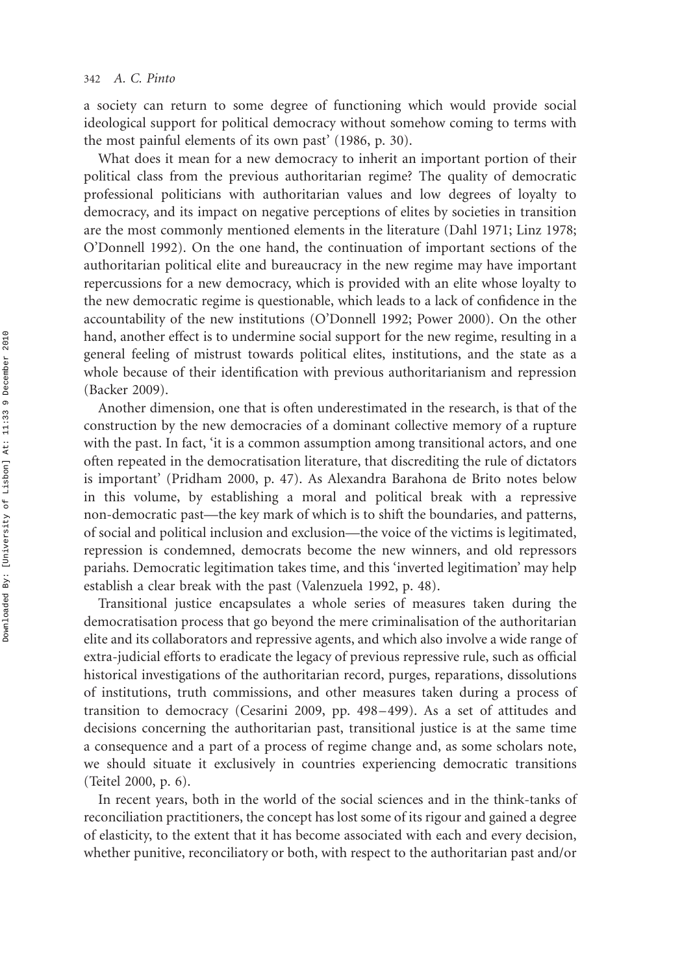a society can return to some degree of functioning which would provide social ideological support for political democracy without somehow coming to terms with the most painful elements of its own past' (1986, p. 30).

What does it mean for a new democracy to inherit an important portion of their political class from the previous authoritarian regime? The quality of democratic professional politicians with authoritarian values and low degrees of loyalty to democracy, and its impact on negative perceptions of elites by societies in transition are the most commonly mentioned elements in the literature (Dahl 1971; Linz 1978; O'Donnell 1992). On the one hand, the continuation of important sections of the authoritarian political elite and bureaucracy in the new regime may have important repercussions for a new democracy, which is provided with an elite whose loyalty to the new democratic regime is questionable, which leads to a lack of confidence in the accountability of the new institutions (O'Donnell 1992; Power 2000). On the other hand, another effect is to undermine social support for the new regime, resulting in a general feeling of mistrust towards political elites, institutions, and the state as a whole because of their identification with previous authoritarianism and repression (Backer 2009).

Another dimension, one that is often underestimated in the research, is that of the construction by the new democracies of a dominant collective memory of a rupture with the past. In fact, 'it is a common assumption among transitional actors, and one often repeated in the democratisation literature, that discrediting the rule of dictators is important' (Pridham 2000, p. 47). As Alexandra Barahona de Brito notes below in this volume, by establishing a moral and political break with a repressive non-democratic past—the key mark of which is to shift the boundaries, and patterns, of social and political inclusion and exclusion—the voice of the victims is legitimated, repression is condemned, democrats become the new winners, and old repressors pariahs. Democratic legitimation takes time, and this 'inverted legitimation' may help establish a clear break with the past (Valenzuela 1992, p. 48).

Transitional justice encapsulates a whole series of measures taken during the democratisation process that go beyond the mere criminalisation of the authoritarian elite and its collaborators and repressive agents, and which also involve a wide range of extra-judicial efforts to eradicate the legacy of previous repressive rule, such as official historical investigations of the authoritarian record, purges, reparations, dissolutions of institutions, truth commissions, and other measures taken during a process of transition to democracy (Cesarini 2009, pp. 498–499). As a set of attitudes and decisions concerning the authoritarian past, transitional justice is at the same time a consequence and a part of a process of regime change and, as some scholars note, we should situate it exclusively in countries experiencing democratic transitions (Teitel 2000, p. 6).

In recent years, both in the world of the social sciences and in the think-tanks of reconciliation practitioners, the concept has lost some of its rigour and gained a degree of elasticity, to the extent that it has become associated with each and every decision, whether punitive, reconciliatory or both, with respect to the authoritarian past and/or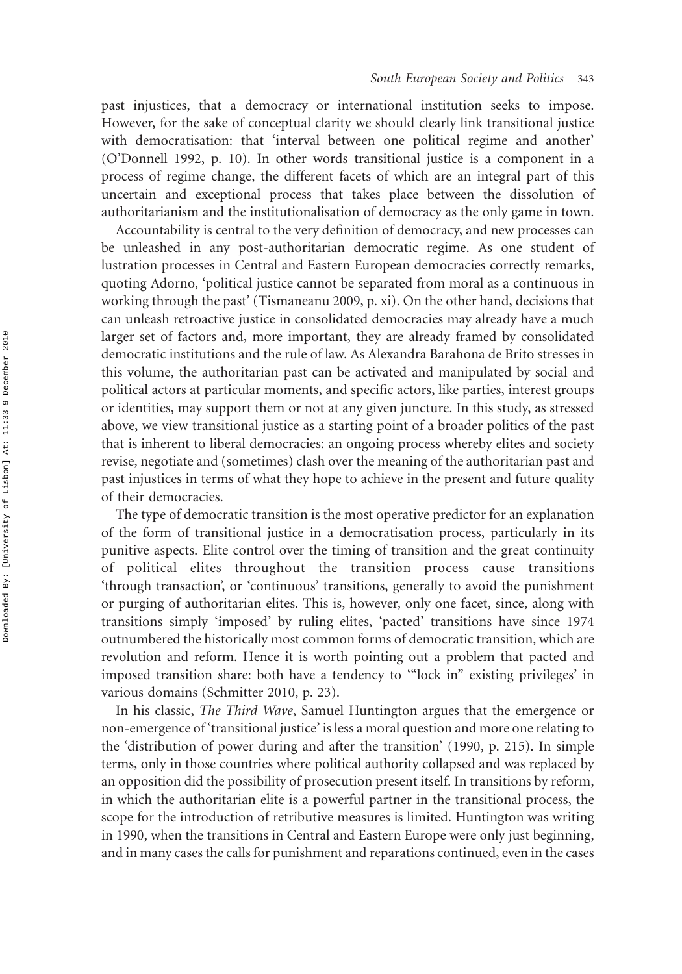past injustices, that a democracy or international institution seeks to impose. However, for the sake of conceptual clarity we should clearly link transitional justice with democratisation: that 'interval between one political regime and another' (O'Donnell 1992, p. 10). In other words transitional justice is a component in a process of regime change, the different facets of which are an integral part of this uncertain and exceptional process that takes place between the dissolution of authoritarianism and the institutionalisation of democracy as the only game in town.

Accountability is central to the very definition of democracy, and new processes can be unleashed in any post-authoritarian democratic regime. As one student of lustration processes in Central and Eastern European democracies correctly remarks, quoting Adorno, 'political justice cannot be separated from moral as a continuous in working through the past' (Tismaneanu 2009, p. xi). On the other hand, decisions that can unleash retroactive justice in consolidated democracies may already have a much larger set of factors and, more important, they are already framed by consolidated democratic institutions and the rule of law. As Alexandra Barahona de Brito stresses in this volume, the authoritarian past can be activated and manipulated by social and political actors at particular moments, and specific actors, like parties, interest groups or identities, may support them or not at any given juncture. In this study, as stressed above, we view transitional justice as a starting point of a broader politics of the past that is inherent to liberal democracies: an ongoing process whereby elites and society revise, negotiate and (sometimes) clash over the meaning of the authoritarian past and past injustices in terms of what they hope to achieve in the present and future quality of their democracies.

The type of democratic transition is the most operative predictor for an explanation of the form of transitional justice in a democratisation process, particularly in its punitive aspects. Elite control over the timing of transition and the great continuity of political elites throughout the transition process cause transitions 'through transaction', or 'continuous' transitions, generally to avoid the punishment or purging of authoritarian elites. This is, however, only one facet, since, along with transitions simply 'imposed' by ruling elites, 'pacted' transitions have since 1974 outnumbered the historically most common forms of democratic transition, which are revolution and reform. Hence it is worth pointing out a problem that pacted and imposed transition share: both have a tendency to '"lock in" existing privileges' in various domains (Schmitter 2010, p. 23).

In his classic, The Third Wave, Samuel Huntington argues that the emergence or non-emergence of 'transitional justice' is less a moral question and more one relating to the 'distribution of power during and after the transition' (1990, p. 215). In simple terms, only in those countries where political authority collapsed and was replaced by an opposition did the possibility of prosecution present itself. In transitions by reform, in which the authoritarian elite is a powerful partner in the transitional process, the scope for the introduction of retributive measures is limited. Huntington was writing in 1990, when the transitions in Central and Eastern Europe were only just beginning, and in many cases the calls for punishment and reparations continued, even in the cases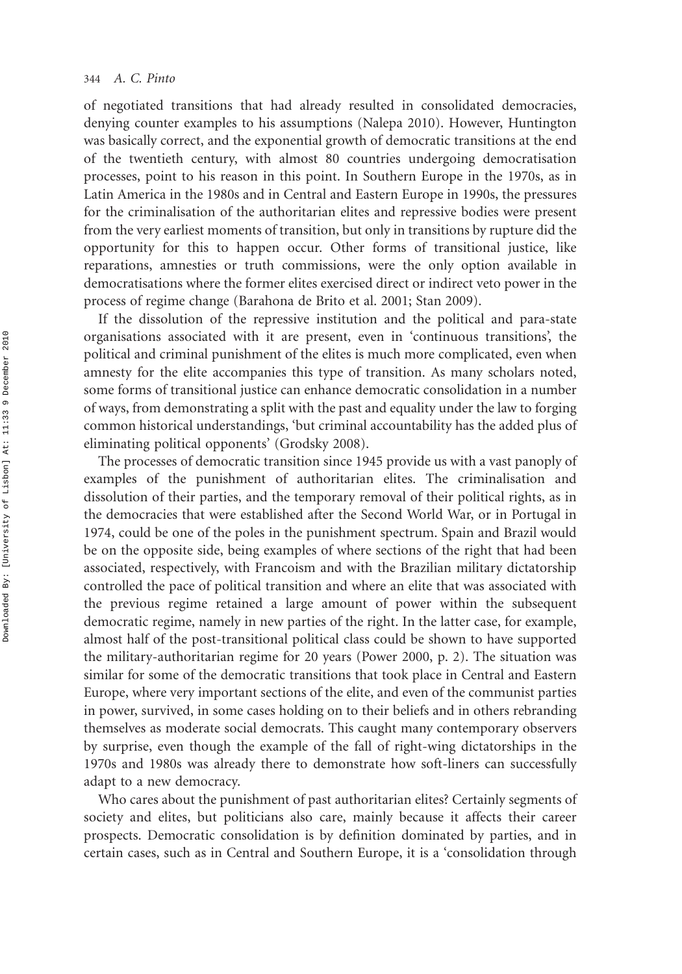of negotiated transitions that had already resulted in consolidated democracies, denying counter examples to his assumptions (Nalepa 2010). However, Huntington was basically correct, and the exponential growth of democratic transitions at the end of the twentieth century, with almost 80 countries undergoing democratisation processes, point to his reason in this point. In Southern Europe in the 1970s, as in Latin America in the 1980s and in Central and Eastern Europe in 1990s, the pressures for the criminalisation of the authoritarian elites and repressive bodies were present from the very earliest moments of transition, but only in transitions by rupture did the opportunity for this to happen occur. Other forms of transitional justice, like reparations, amnesties or truth commissions, were the only option available in democratisations where the former elites exercised direct or indirect veto power in the process of regime change (Barahona de Brito et al. 2001; Stan 2009).

If the dissolution of the repressive institution and the political and para-state organisations associated with it are present, even in 'continuous transitions', the political and criminal punishment of the elites is much more complicated, even when amnesty for the elite accompanies this type of transition. As many scholars noted, some forms of transitional justice can enhance democratic consolidation in a number of ways, from demonstrating a split with the past and equality under the law to forging common historical understandings, 'but criminal accountability has the added plus of eliminating political opponents' (Grodsky 2008).

The processes of democratic transition since 1945 provide us with a vast panoply of examples of the punishment of authoritarian elites. The criminalisation and dissolution of their parties, and the temporary removal of their political rights, as in the democracies that were established after the Second World War, or in Portugal in 1974, could be one of the poles in the punishment spectrum. Spain and Brazil would be on the opposite side, being examples of where sections of the right that had been associated, respectively, with Francoism and with the Brazilian military dictatorship controlled the pace of political transition and where an elite that was associated with the previous regime retained a large amount of power within the subsequent democratic regime, namely in new parties of the right. In the latter case, for example, almost half of the post-transitional political class could be shown to have supported the military-authoritarian regime for 20 years (Power 2000, p. 2). The situation was similar for some of the democratic transitions that took place in Central and Eastern Europe, where very important sections of the elite, and even of the communist parties in power, survived, in some cases holding on to their beliefs and in others rebranding themselves as moderate social democrats. This caught many contemporary observers by surprise, even though the example of the fall of right-wing dictatorships in the 1970s and 1980s was already there to demonstrate how soft-liners can successfully adapt to a new democracy.

Who cares about the punishment of past authoritarian elites? Certainly segments of society and elites, but politicians also care, mainly because it affects their career prospects. Democratic consolidation is by definition dominated by parties, and in certain cases, such as in Central and Southern Europe, it is a 'consolidation through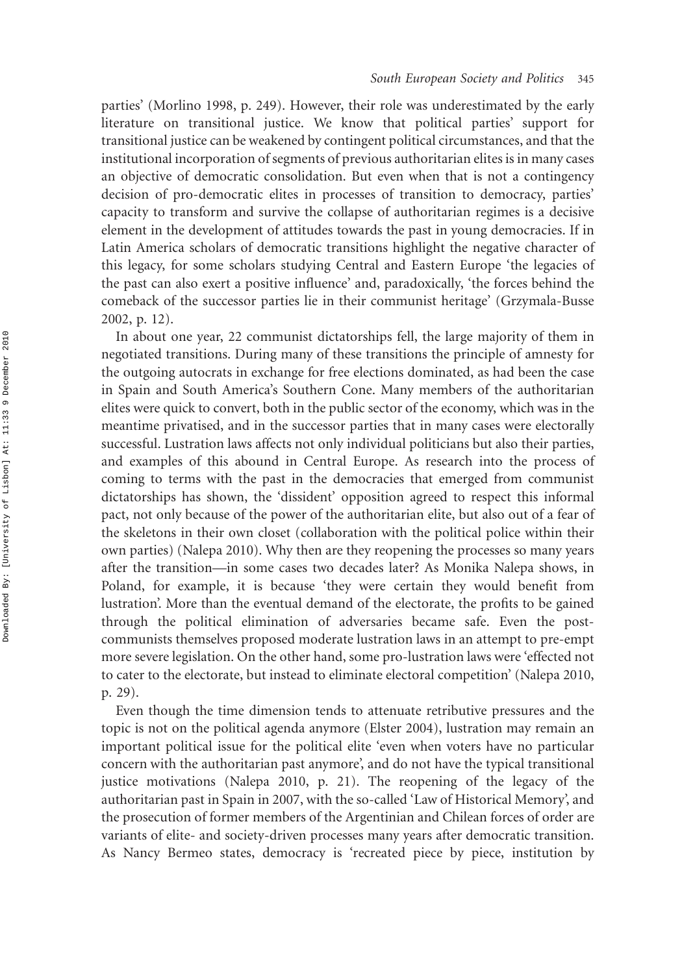parties' (Morlino 1998, p. 249). However, their role was underestimated by the early literature on transitional justice. We know that political parties' support for transitional justice can be weakened by contingent political circumstances, and that the institutional incorporation of segments of previous authoritarian elites is in many cases an objective of democratic consolidation. But even when that is not a contingency decision of pro-democratic elites in processes of transition to democracy, parties' capacity to transform and survive the collapse of authoritarian regimes is a decisive element in the development of attitudes towards the past in young democracies. If in Latin America scholars of democratic transitions highlight the negative character of this legacy, for some scholars studying Central and Eastern Europe 'the legacies of the past can also exert a positive influence' and, paradoxically, 'the forces behind the comeback of the successor parties lie in their communist heritage' (Grzymala-Busse 2002, p. 12).

In about one year, 22 communist dictatorships fell, the large majority of them in negotiated transitions. During many of these transitions the principle of amnesty for the outgoing autocrats in exchange for free elections dominated, as had been the case in Spain and South America's Southern Cone. Many members of the authoritarian elites were quick to convert, both in the public sector of the economy, which was in the meantime privatised, and in the successor parties that in many cases were electorally successful. Lustration laws affects not only individual politicians but also their parties, and examples of this abound in Central Europe. As research into the process of coming to terms with the past in the democracies that emerged from communist dictatorships has shown, the 'dissident' opposition agreed to respect this informal pact, not only because of the power of the authoritarian elite, but also out of a fear of the skeletons in their own closet (collaboration with the political police within their own parties) (Nalepa 2010). Why then are they reopening the processes so many years after the transition—in some cases two decades later? As Monika Nalepa shows, in Poland, for example, it is because 'they were certain they would benefit from lustration'. More than the eventual demand of the electorate, the profits to be gained through the political elimination of adversaries became safe. Even the postcommunists themselves proposed moderate lustration laws in an attempt to pre-empt more severe legislation. On the other hand, some pro-lustration laws were 'effected not to cater to the electorate, but instead to eliminate electoral competition' (Nalepa 2010, p. 29).

Even though the time dimension tends to attenuate retributive pressures and the topic is not on the political agenda anymore (Elster 2004), lustration may remain an important political issue for the political elite 'even when voters have no particular concern with the authoritarian past anymore', and do not have the typical transitional justice motivations (Nalepa 2010, p. 21). The reopening of the legacy of the authoritarian past in Spain in 2007, with the so-called 'Law of Historical Memory', and the prosecution of former members of the Argentinian and Chilean forces of order are variants of elite- and society-driven processes many years after democratic transition. As Nancy Bermeo states, democracy is 'recreated piece by piece, institution by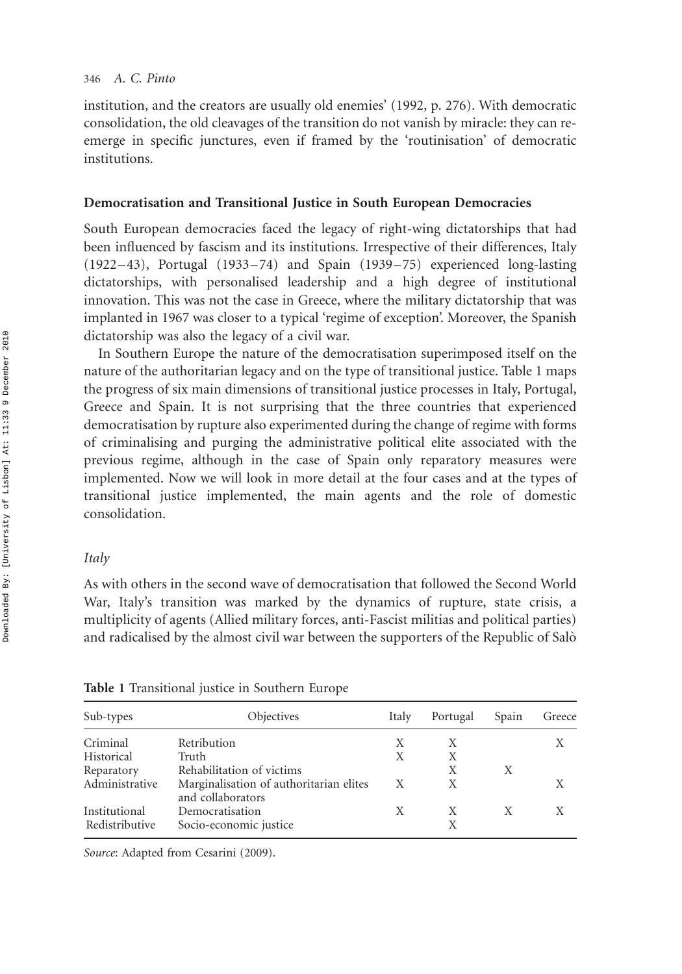institution, and the creators are usually old enemies' (1992, p. 276). With democratic consolidation, the old cleavages of the transition do not vanish by miracle: they can reemerge in specific junctures, even if framed by the 'routinisation' of democratic institutions.

#### Democratisation and Transitional Justice in South European Democracies

South European democracies faced the legacy of right-wing dictatorships that had been influenced by fascism and its institutions. Irrespective of their differences, Italy (1922–43), Portugal (1933–74) and Spain (1939–75) experienced long-lasting dictatorships, with personalised leadership and a high degree of institutional innovation. This was not the case in Greece, where the military dictatorship that was implanted in 1967 was closer to a typical 'regime of exception'. Moreover, the Spanish dictatorship was also the legacy of a civil war.

In Southern Europe the nature of the democratisation superimposed itself on the nature of the authoritarian legacy and on the type of transitional justice. Table 1 maps the progress of six main dimensions of transitional justice processes in Italy, Portugal, Greece and Spain. It is not surprising that the three countries that experienced democratisation by rupture also experimented during the change of regime with forms of criminalising and purging the administrative political elite associated with the previous regime, although in the case of Spain only reparatory measures were implemented. Now we will look in more detail at the four cases and at the types of transitional justice implemented, the main agents and the role of domestic consolidation.

#### Italy

As with others in the second wave of democratisation that followed the Second World War, Italy's transition was marked by the dynamics of rupture, state crisis, a multiplicity of agents (Allied military forces, anti-Fascist militias and political parties) and radicalised by the almost civil war between the supporters of the Republic of Salo`

| Sub-types                       | Objectives                                                   | Italy | Portugal | Spain | Greece |
|---------------------------------|--------------------------------------------------------------|-------|----------|-------|--------|
| Criminal                        | Retribution                                                  | X     | X        |       | X      |
| Historical                      | Truth                                                        | X     | X        |       |        |
| Reparatory                      | Rehabilitation of victims                                    |       | X        | X     |        |
| Administrative                  | Marginalisation of authoritarian elites<br>and collaborators | X     | X        |       |        |
| Institutional<br>Redistributive | Democratisation<br>Socio-economic justice                    | X     | X<br>X   | X     |        |

Table 1 Transitional justice in Southern Europe

Source: Adapted from Cesarini (2009).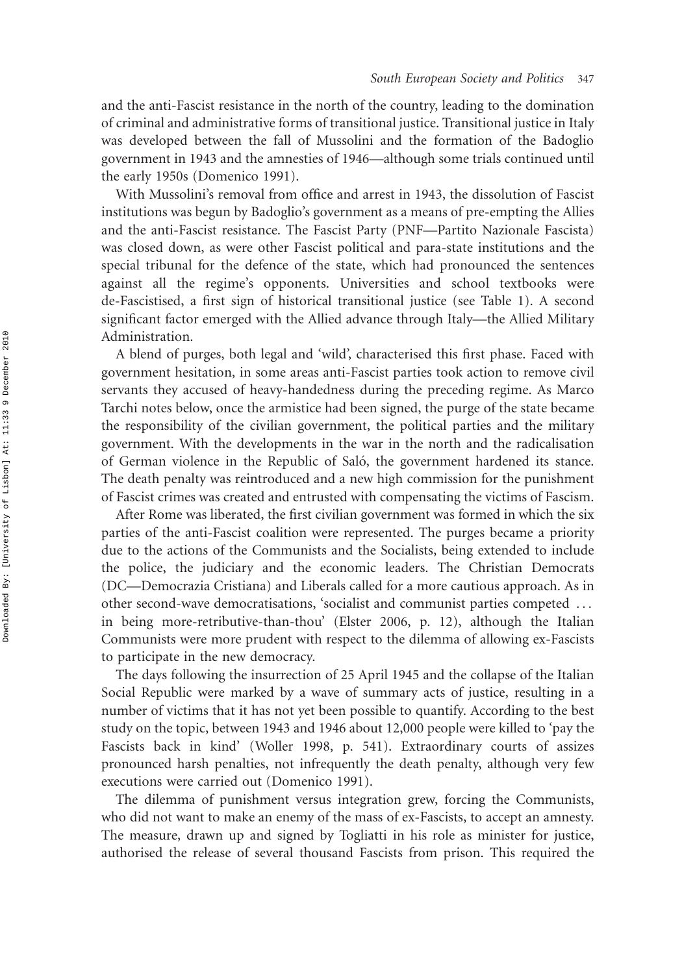and the anti-Fascist resistance in the north of the country, leading to the domination of criminal and administrative forms of transitional justice. Transitional justice in Italy was developed between the fall of Mussolini and the formation of the Badoglio government in 1943 and the amnesties of 1946—although some trials continued until the early 1950s (Domenico 1991).

With Mussolini's removal from office and arrest in 1943, the dissolution of Fascist institutions was begun by Badoglio's government as a means of pre-empting the Allies and the anti-Fascist resistance. The Fascist Party (PNF—Partito Nazionale Fascista) was closed down, as were other Fascist political and para-state institutions and the special tribunal for the defence of the state, which had pronounced the sentences against all the regime's opponents. Universities and school textbooks were de-Fascistised, a first sign of historical transitional justice (see Table 1). A second significant factor emerged with the Allied advance through Italy—the Allied Military Administration.

A blend of purges, both legal and 'wild', characterised this first phase. Faced with government hesitation, in some areas anti-Fascist parties took action to remove civil servants they accused of heavy-handedness during the preceding regime. As Marco Tarchi notes below, once the armistice had been signed, the purge of the state became the responsibility of the civilian government, the political parties and the military government. With the developments in the war in the north and the radicalisation of German violence in the Republic of Salo´, the government hardened its stance. The death penalty was reintroduced and a new high commission for the punishment of Fascist crimes was created and entrusted with compensating the victims of Fascism.

After Rome was liberated, the first civilian government was formed in which the six parties of the anti-Fascist coalition were represented. The purges became a priority due to the actions of the Communists and the Socialists, being extended to include the police, the judiciary and the economic leaders. The Christian Democrats (DC—Democrazia Cristiana) and Liberals called for a more cautious approach. As in other second-wave democratisations, 'socialist and communist parties competed ... in being more-retributive-than-thou' (Elster 2006, p. 12), although the Italian Communists were more prudent with respect to the dilemma of allowing ex-Fascists to participate in the new democracy.

The days following the insurrection of 25 April 1945 and the collapse of the Italian Social Republic were marked by a wave of summary acts of justice, resulting in a number of victims that it has not yet been possible to quantify. According to the best study on the topic, between 1943 and 1946 about 12,000 people were killed to 'pay the Fascists back in kind' (Woller 1998, p. 541). Extraordinary courts of assizes pronounced harsh penalties, not infrequently the death penalty, although very few executions were carried out (Domenico 1991).

The dilemma of punishment versus integration grew, forcing the Communists, who did not want to make an enemy of the mass of ex-Fascists, to accept an amnesty. The measure, drawn up and signed by Togliatti in his role as minister for justice, authorised the release of several thousand Fascists from prison. This required the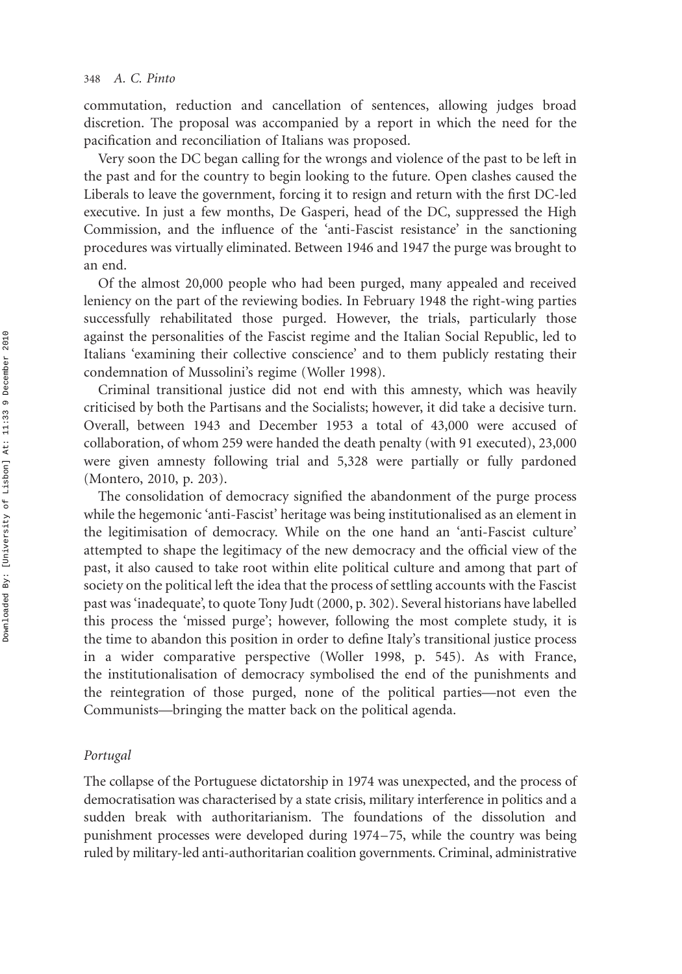commutation, reduction and cancellation of sentences, allowing judges broad discretion. The proposal was accompanied by a report in which the need for the pacification and reconciliation of Italians was proposed.

Very soon the DC began calling for the wrongs and violence of the past to be left in the past and for the country to begin looking to the future. Open clashes caused the Liberals to leave the government, forcing it to resign and return with the first DC-led executive. In just a few months, De Gasperi, head of the DC, suppressed the High Commission, and the influence of the 'anti-Fascist resistance' in the sanctioning procedures was virtually eliminated. Between 1946 and 1947 the purge was brought to an end.

Of the almost 20,000 people who had been purged, many appealed and received leniency on the part of the reviewing bodies. In February 1948 the right-wing parties successfully rehabilitated those purged. However, the trials, particularly those against the personalities of the Fascist regime and the Italian Social Republic, led to Italians 'examining their collective conscience' and to them publicly restating their condemnation of Mussolini's regime (Woller 1998).

Criminal transitional justice did not end with this amnesty, which was heavily criticised by both the Partisans and the Socialists; however, it did take a decisive turn. Overall, between 1943 and December 1953 a total of 43,000 were accused of collaboration, of whom 259 were handed the death penalty (with 91 executed), 23,000 were given amnesty following trial and 5,328 were partially or fully pardoned (Montero, 2010, p. 203).

The consolidation of democracy signified the abandonment of the purge process while the hegemonic 'anti-Fascist' heritage was being institutionalised as an element in the legitimisation of democracy. While on the one hand an 'anti-Fascist culture' attempted to shape the legitimacy of the new democracy and the official view of the past, it also caused to take root within elite political culture and among that part of society on the political left the idea that the process of settling accounts with the Fascist past was 'inadequate', to quote Tony Judt (2000, p. 302). Several historians have labelled this process the 'missed purge'; however, following the most complete study, it is the time to abandon this position in order to define Italy's transitional justice process in a wider comparative perspective (Woller 1998, p. 545). As with France, the institutionalisation of democracy symbolised the end of the punishments and the reintegration of those purged, none of the political parties—not even the Communists—bringing the matter back on the political agenda.

#### Portugal

The collapse of the Portuguese dictatorship in 1974 was unexpected, and the process of democratisation was characterised by a state crisis, military interference in politics and a sudden break with authoritarianism. The foundations of the dissolution and punishment processes were developed during 1974–75, while the country was being ruled by military-led anti-authoritarian coalition governments. Criminal, administrative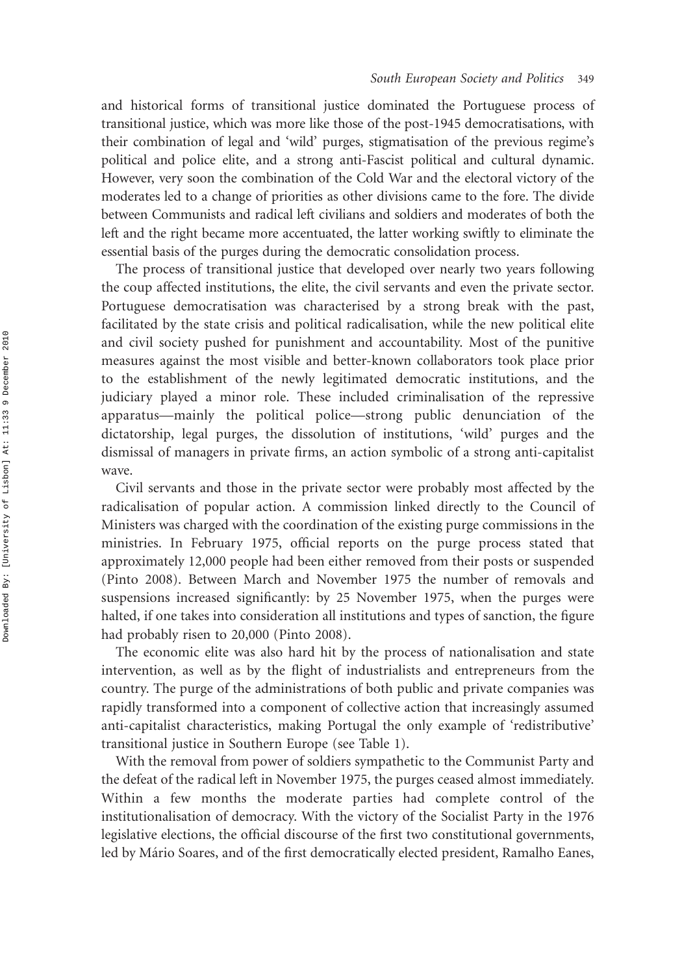and historical forms of transitional justice dominated the Portuguese process of transitional justice, which was more like those of the post-1945 democratisations, with their combination of legal and 'wild' purges, stigmatisation of the previous regime's political and police elite, and a strong anti-Fascist political and cultural dynamic. However, very soon the combination of the Cold War and the electoral victory of the moderates led to a change of priorities as other divisions came to the fore. The divide between Communists and radical left civilians and soldiers and moderates of both the left and the right became more accentuated, the latter working swiftly to eliminate the essential basis of the purges during the democratic consolidation process.

The process of transitional justice that developed over nearly two years following the coup affected institutions, the elite, the civil servants and even the private sector. Portuguese democratisation was characterised by a strong break with the past, facilitated by the state crisis and political radicalisation, while the new political elite and civil society pushed for punishment and accountability. Most of the punitive measures against the most visible and better-known collaborators took place prior to the establishment of the newly legitimated democratic institutions, and the judiciary played a minor role. These included criminalisation of the repressive apparatus—mainly the political police—strong public denunciation of the dictatorship, legal purges, the dissolution of institutions, 'wild' purges and the dismissal of managers in private firms, an action symbolic of a strong anti-capitalist wave.

Civil servants and those in the private sector were probably most affected by the radicalisation of popular action. A commission linked directly to the Council of Ministers was charged with the coordination of the existing purge commissions in the ministries. In February 1975, official reports on the purge process stated that approximately 12,000 people had been either removed from their posts or suspended (Pinto 2008). Between March and November 1975 the number of removals and suspensions increased significantly: by 25 November 1975, when the purges were halted, if one takes into consideration all institutions and types of sanction, the figure had probably risen to 20,000 (Pinto 2008).

The economic elite was also hard hit by the process of nationalisation and state intervention, as well as by the flight of industrialists and entrepreneurs from the country. The purge of the administrations of both public and private companies was rapidly transformed into a component of collective action that increasingly assumed anti-capitalist characteristics, making Portugal the only example of 'redistributive' transitional justice in Southern Europe (see Table 1).

With the removal from power of soldiers sympathetic to the Communist Party and the defeat of the radical left in November 1975, the purges ceased almost immediately. Within a few months the moderate parties had complete control of the institutionalisation of democracy. With the victory of the Socialist Party in the 1976 legislative elections, the official discourse of the first two constitutional governments, led by Mário Soares, and of the first democratically elected president, Ramalho Eanes,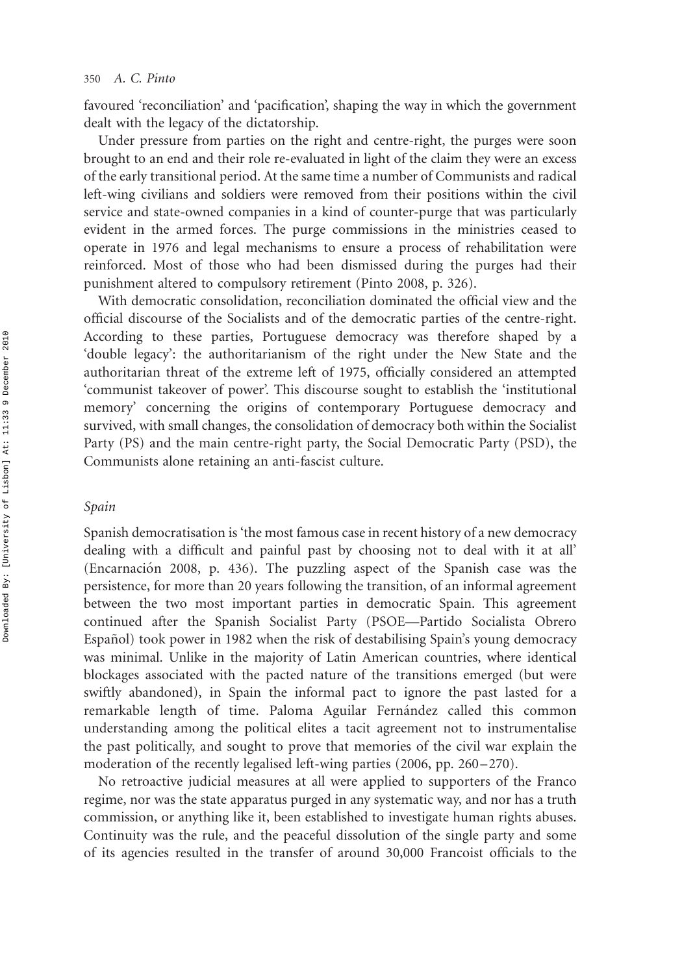favoured 'reconciliation' and 'pacification', shaping the way in which the government dealt with the legacy of the dictatorship.

Under pressure from parties on the right and centre-right, the purges were soon brought to an end and their role re-evaluated in light of the claim they were an excess of the early transitional period. At the same time a number of Communists and radical left-wing civilians and soldiers were removed from their positions within the civil service and state-owned companies in a kind of counter-purge that was particularly evident in the armed forces. The purge commissions in the ministries ceased to operate in 1976 and legal mechanisms to ensure a process of rehabilitation were reinforced. Most of those who had been dismissed during the purges had their punishment altered to compulsory retirement (Pinto 2008, p. 326).

With democratic consolidation, reconciliation dominated the official view and the official discourse of the Socialists and of the democratic parties of the centre-right. According to these parties, Portuguese democracy was therefore shaped by a 'double legacy': the authoritarianism of the right under the New State and the authoritarian threat of the extreme left of 1975, officially considered an attempted 'communist takeover of power'. This discourse sought to establish the 'institutional memory' concerning the origins of contemporary Portuguese democracy and survived, with small changes, the consolidation of democracy both within the Socialist Party (PS) and the main centre-right party, the Social Democratic Party (PSD), the Communists alone retaining an anti-fascist culture.

#### Spain

Spanish democratisation is 'the most famous case in recent history of a new democracy dealing with a difficult and painful past by choosing not to deal with it at all' (Encarnación 2008, p. 436). The puzzling aspect of the Spanish case was the persistence, for more than 20 years following the transition, of an informal agreement between the two most important parties in democratic Spain. This agreement continued after the Spanish Socialist Party (PSOE—Partido Socialista Obrero Espanol) took power in 1982 when the risk of destabilising Spain's young democracy was minimal. Unlike in the majority of Latin American countries, where identical blockages associated with the pacted nature of the transitions emerged (but were swiftly abandoned), in Spain the informal pact to ignore the past lasted for a remarkable length of time. Paloma Aguilar Fernández called this common understanding among the political elites a tacit agreement not to instrumentalise the past politically, and sought to prove that memories of the civil war explain the moderation of the recently legalised left-wing parties (2006, pp. 260–270).

No retroactive judicial measures at all were applied to supporters of the Franco regime, nor was the state apparatus purged in any systematic way, and nor has a truth commission, or anything like it, been established to investigate human rights abuses. Continuity was the rule, and the peaceful dissolution of the single party and some of its agencies resulted in the transfer of around 30,000 Francoist officials to the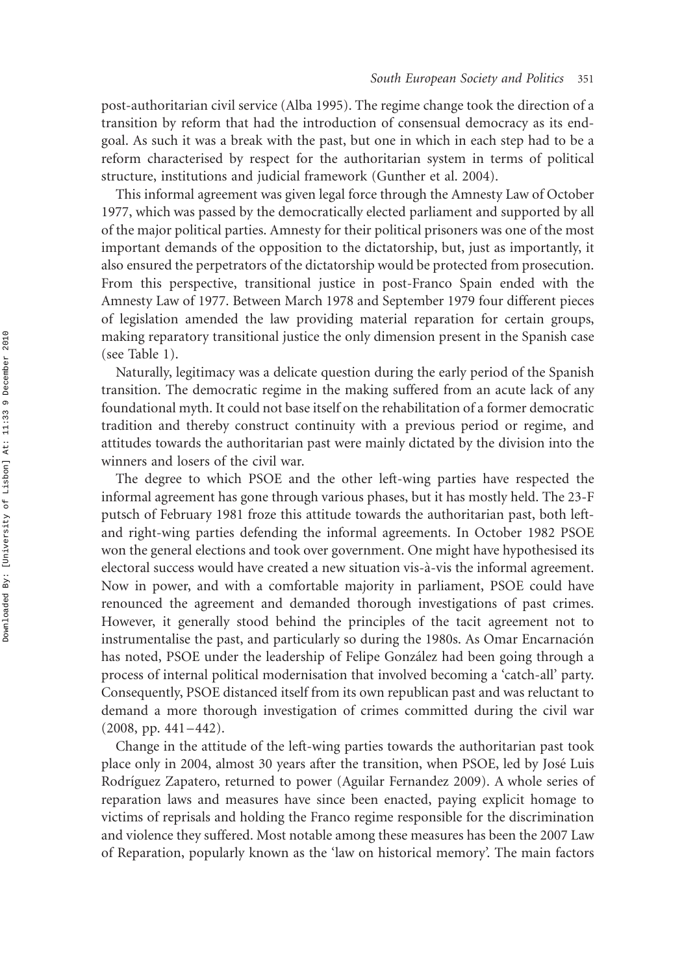post-authoritarian civil service (Alba 1995). The regime change took the direction of a transition by reform that had the introduction of consensual democracy as its endgoal. As such it was a break with the past, but one in which in each step had to be a reform characterised by respect for the authoritarian system in terms of political structure, institutions and judicial framework (Gunther et al. 2004).

This informal agreement was given legal force through the Amnesty Law of October 1977, which was passed by the democratically elected parliament and supported by all of the major political parties. Amnesty for their political prisoners was one of the most important demands of the opposition to the dictatorship, but, just as importantly, it also ensured the perpetrators of the dictatorship would be protected from prosecution. From this perspective, transitional justice in post-Franco Spain ended with the Amnesty Law of 1977. Between March 1978 and September 1979 four different pieces of legislation amended the law providing material reparation for certain groups, making reparatory transitional justice the only dimension present in the Spanish case (see Table 1).

Naturally, legitimacy was a delicate question during the early period of the Spanish transition. The democratic regime in the making suffered from an acute lack of any foundational myth. It could not base itself on the rehabilitation of a former democratic tradition and thereby construct continuity with a previous period or regime, and attitudes towards the authoritarian past were mainly dictated by the division into the winners and losers of the civil war.

The degree to which PSOE and the other left-wing parties have respected the informal agreement has gone through various phases, but it has mostly held. The 23-F putsch of February 1981 froze this attitude towards the authoritarian past, both leftand right-wing parties defending the informal agreements. In October 1982 PSOE won the general elections and took over government. One might have hypothesised its electoral success would have created a new situation vis-à-vis the informal agreement. Now in power, and with a comfortable majority in parliament, PSOE could have renounced the agreement and demanded thorough investigations of past crimes. However, it generally stood behind the principles of the tacit agreement not to instrumentalise the past, and particularly so during the 1980s. As Omar Encarnación has noted, PSOE under the leadership of Felipe González had been going through a process of internal political modernisation that involved becoming a 'catch-all' party. Consequently, PSOE distanced itself from its own republican past and was reluctant to demand a more thorough investigation of crimes committed during the civil war (2008, pp. 441–442).

Change in the attitude of the left-wing parties towards the authoritarian past took place only in 2004, almost 30 years after the transition, when PSOE, led by Jose´ Luis Rodríguez Zapatero, returned to power (Aguilar Fernandez 2009). A whole series of reparation laws and measures have since been enacted, paying explicit homage to victims of reprisals and holding the Franco regime responsible for the discrimination and violence they suffered. Most notable among these measures has been the 2007 Law of Reparation, popularly known as the 'law on historical memory'. The main factors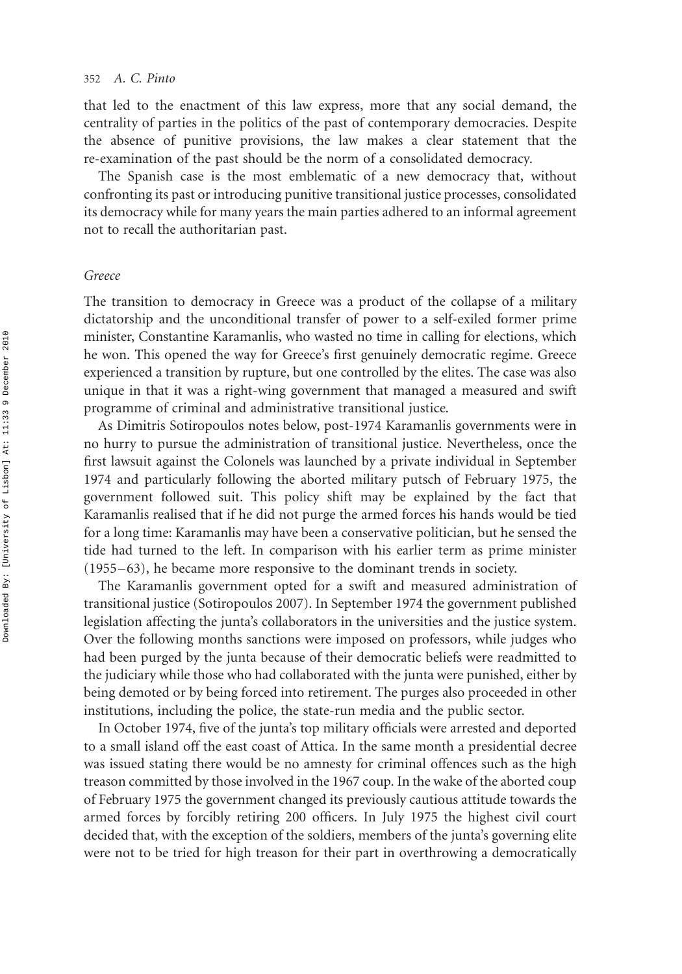that led to the enactment of this law express, more that any social demand, the centrality of parties in the politics of the past of contemporary democracies. Despite the absence of punitive provisions, the law makes a clear statement that the re-examination of the past should be the norm of a consolidated democracy.

The Spanish case is the most emblematic of a new democracy that, without confronting its past or introducing punitive transitional justice processes, consolidated its democracy while for many years the main parties adhered to an informal agreement not to recall the authoritarian past.

#### Greece

The transition to democracy in Greece was a product of the collapse of a military dictatorship and the unconditional transfer of power to a self-exiled former prime minister, Constantine Karamanlis, who wasted no time in calling for elections, which he won. This opened the way for Greece's first genuinely democratic regime. Greece experienced a transition by rupture, but one controlled by the elites. The case was also unique in that it was a right-wing government that managed a measured and swift programme of criminal and administrative transitional justice.

As Dimitris Sotiropoulos notes below, post-1974 Karamanlis governments were in no hurry to pursue the administration of transitional justice. Nevertheless, once the first lawsuit against the Colonels was launched by a private individual in September 1974 and particularly following the aborted military putsch of February 1975, the government followed suit. This policy shift may be explained by the fact that Karamanlis realised that if he did not purge the armed forces his hands would be tied for a long time: Karamanlis may have been a conservative politician, but he sensed the tide had turned to the left. In comparison with his earlier term as prime minister (1955–63), he became more responsive to the dominant trends in society.

The Karamanlis government opted for a swift and measured administration of transitional justice (Sotiropoulos 2007). In September 1974 the government published legislation affecting the junta's collaborators in the universities and the justice system. Over the following months sanctions were imposed on professors, while judges who had been purged by the junta because of their democratic beliefs were readmitted to the judiciary while those who had collaborated with the junta were punished, either by being demoted or by being forced into retirement. The purges also proceeded in other institutions, including the police, the state-run media and the public sector.

In October 1974, five of the junta's top military officials were arrested and deported to a small island off the east coast of Attica. In the same month a presidential decree was issued stating there would be no amnesty for criminal offences such as the high treason committed by those involved in the 1967 coup. In the wake of the aborted coup of February 1975 the government changed its previously cautious attitude towards the armed forces by forcibly retiring 200 officers. In July 1975 the highest civil court decided that, with the exception of the soldiers, members of the junta's governing elite were not to be tried for high treason for their part in overthrowing a democratically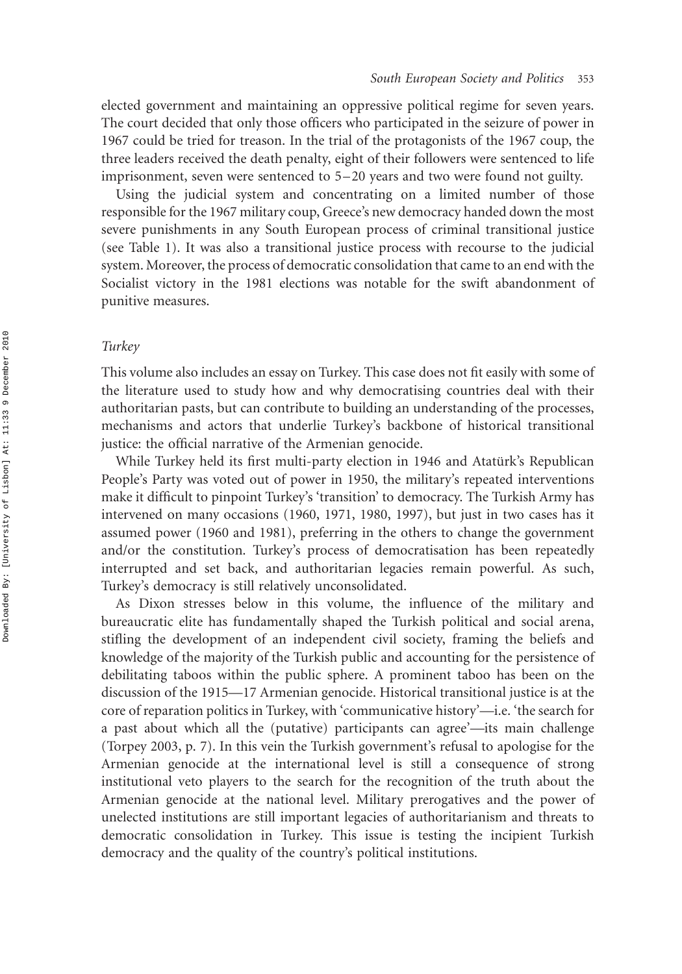elected government and maintaining an oppressive political regime for seven years. The court decided that only those officers who participated in the seizure of power in 1967 could be tried for treason. In the trial of the protagonists of the 1967 coup, the three leaders received the death penalty, eight of their followers were sentenced to life imprisonment, seven were sentenced to 5–20 years and two were found not guilty.

Using the judicial system and concentrating on a limited number of those responsible for the 1967 military coup, Greece's new democracy handed down the most severe punishments in any South European process of criminal transitional justice (see Table 1). It was also a transitional justice process with recourse to the judicial system. Moreover, the process of democratic consolidation that came to an end with the Socialist victory in the 1981 elections was notable for the swift abandonment of punitive measures.

#### Turkey

This volume also includes an essay on Turkey. This case does not fit easily with some of the literature used to study how and why democratising countries deal with their authoritarian pasts, but can contribute to building an understanding of the processes, mechanisms and actors that underlie Turkey's backbone of historical transitional justice: the official narrative of the Armenian genocide.

While Turkey held its first multi-party election in 1946 and Atatürk's Republican People's Party was voted out of power in 1950, the military's repeated interventions make it difficult to pinpoint Turkey's 'transition' to democracy. The Turkish Army has intervened on many occasions (1960, 1971, 1980, 1997), but just in two cases has it assumed power (1960 and 1981), preferring in the others to change the government and/or the constitution. Turkey's process of democratisation has been repeatedly interrupted and set back, and authoritarian legacies remain powerful. As such, Turkey's democracy is still relatively unconsolidated.

As Dixon stresses below in this volume, the influence of the military and bureaucratic elite has fundamentally shaped the Turkish political and social arena, stifling the development of an independent civil society, framing the beliefs and knowledge of the majority of the Turkish public and accounting for the persistence of debilitating taboos within the public sphere. A prominent taboo has been on the discussion of the 1915—17 Armenian genocide. Historical transitional justice is at the core of reparation politics in Turkey, with 'communicative history'—i.e. 'the search for a past about which all the (putative) participants can agree'—its main challenge (Torpey 2003, p. 7). In this vein the Turkish government's refusal to apologise for the Armenian genocide at the international level is still a consequence of strong institutional veto players to the search for the recognition of the truth about the Armenian genocide at the national level. Military prerogatives and the power of unelected institutions are still important legacies of authoritarianism and threats to democratic consolidation in Turkey. This issue is testing the incipient Turkish democracy and the quality of the country's political institutions.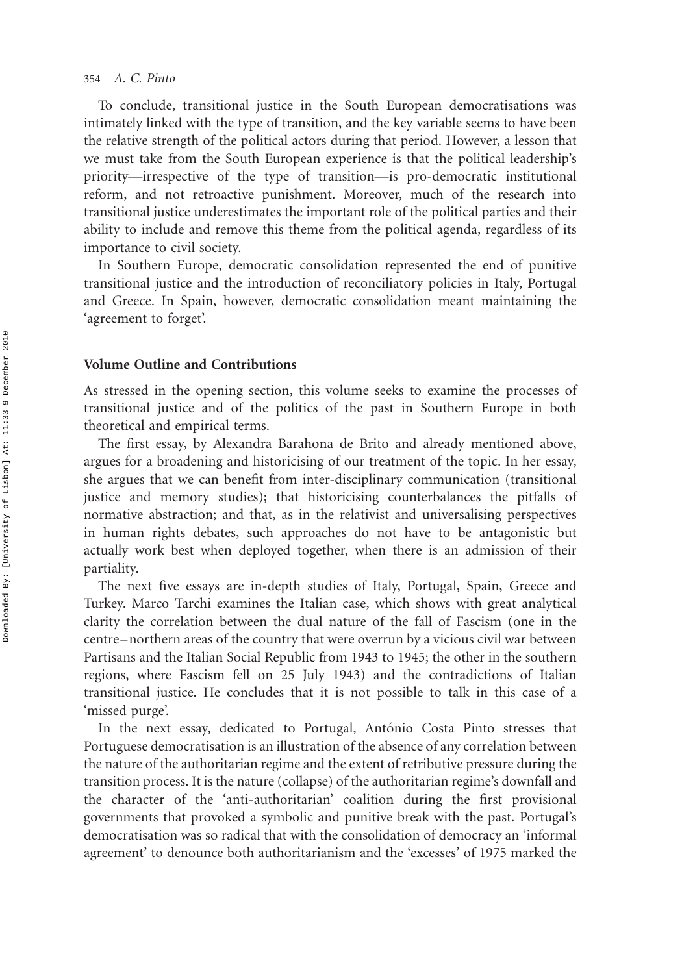#### 354 A. C. Pinto

To conclude, transitional justice in the South European democratisations was intimately linked with the type of transition, and the key variable seems to have been the relative strength of the political actors during that period. However, a lesson that we must take from the South European experience is that the political leadership's priority—irrespective of the type of transition—is pro-democratic institutional reform, and not retroactive punishment. Moreover, much of the research into transitional justice underestimates the important role of the political parties and their ability to include and remove this theme from the political agenda, regardless of its importance to civil society.

In Southern Europe, democratic consolidation represented the end of punitive transitional justice and the introduction of reconciliatory policies in Italy, Portugal and Greece. In Spain, however, democratic consolidation meant maintaining the 'agreement to forget'.

#### Volume Outline and Contributions

As stressed in the opening section, this volume seeks to examine the processes of transitional justice and of the politics of the past in Southern Europe in both theoretical and empirical terms.

The first essay, by Alexandra Barahona de Brito and already mentioned above, argues for a broadening and historicising of our treatment of the topic. In her essay, she argues that we can benefit from inter-disciplinary communication (transitional justice and memory studies); that historicising counterbalances the pitfalls of normative abstraction; and that, as in the relativist and universalising perspectives in human rights debates, such approaches do not have to be antagonistic but actually work best when deployed together, when there is an admission of their partiality.

The next five essays are in-depth studies of Italy, Portugal, Spain, Greece and Turkey. Marco Tarchi examines the Italian case, which shows with great analytical clarity the correlation between the dual nature of the fall of Fascism (one in the centre–northern areas of the country that were overrun by a vicious civil war between Partisans and the Italian Social Republic from 1943 to 1945; the other in the southern regions, where Fascism fell on 25 July 1943) and the contradictions of Italian transitional justice. He concludes that it is not possible to talk in this case of a 'missed purge'.

In the next essay, dedicated to Portugal, António Costa Pinto stresses that Portuguese democratisation is an illustration of the absence of any correlation between the nature of the authoritarian regime and the extent of retributive pressure during the transition process. It is the nature (collapse) of the authoritarian regime's downfall and the character of the 'anti-authoritarian' coalition during the first provisional governments that provoked a symbolic and punitive break with the past. Portugal's democratisation was so radical that with the consolidation of democracy an 'informal agreement' to denounce both authoritarianism and the 'excesses' of 1975 marked the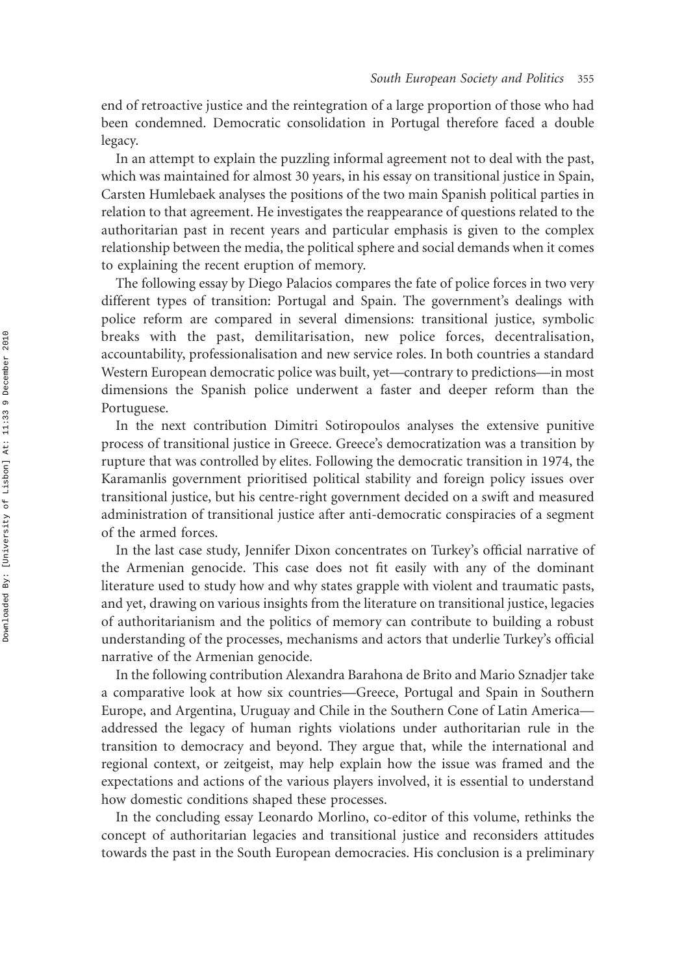end of retroactive justice and the reintegration of a large proportion of those who had been condemned. Democratic consolidation in Portugal therefore faced a double legacy.

In an attempt to explain the puzzling informal agreement not to deal with the past, which was maintained for almost 30 years, in his essay on transitional justice in Spain, Carsten Humlebaek analyses the positions of the two main Spanish political parties in relation to that agreement. He investigates the reappearance of questions related to the authoritarian past in recent years and particular emphasis is given to the complex relationship between the media, the political sphere and social demands when it comes to explaining the recent eruption of memory.

The following essay by Diego Palacios compares the fate of police forces in two very different types of transition: Portugal and Spain. The government's dealings with police reform are compared in several dimensions: transitional justice, symbolic breaks with the past, demilitarisation, new police forces, decentralisation, accountability, professionalisation and new service roles. In both countries a standard Western European democratic police was built, yet—contrary to predictions—in most dimensions the Spanish police underwent a faster and deeper reform than the Portuguese.

In the next contribution Dimitri Sotiropoulos analyses the extensive punitive process of transitional justice in Greece. Greece's democratization was a transition by rupture that was controlled by elites. Following the democratic transition in 1974, the Karamanlis government prioritised political stability and foreign policy issues over transitional justice, but his centre-right government decided on a swift and measured administration of transitional justice after anti-democratic conspiracies of a segment of the armed forces.

In the last case study, Jennifer Dixon concentrates on Turkey's official narrative of the Armenian genocide. This case does not fit easily with any of the dominant literature used to study how and why states grapple with violent and traumatic pasts, and yet, drawing on various insights from the literature on transitional justice, legacies of authoritarianism and the politics of memory can contribute to building a robust understanding of the processes, mechanisms and actors that underlie Turkey's official narrative of the Armenian genocide.

In the following contribution Alexandra Barahona de Brito and Mario Sznadjer take a comparative look at how six countries—Greece, Portugal and Spain in Southern Europe, and Argentina, Uruguay and Chile in the Southern Cone of Latin America addressed the legacy of human rights violations under authoritarian rule in the transition to democracy and beyond. They argue that, while the international and regional context, or zeitgeist, may help explain how the issue was framed and the expectations and actions of the various players involved, it is essential to understand how domestic conditions shaped these processes.

In the concluding essay Leonardo Morlino, co-editor of this volume, rethinks the concept of authoritarian legacies and transitional justice and reconsiders attitudes towards the past in the South European democracies. His conclusion is a preliminary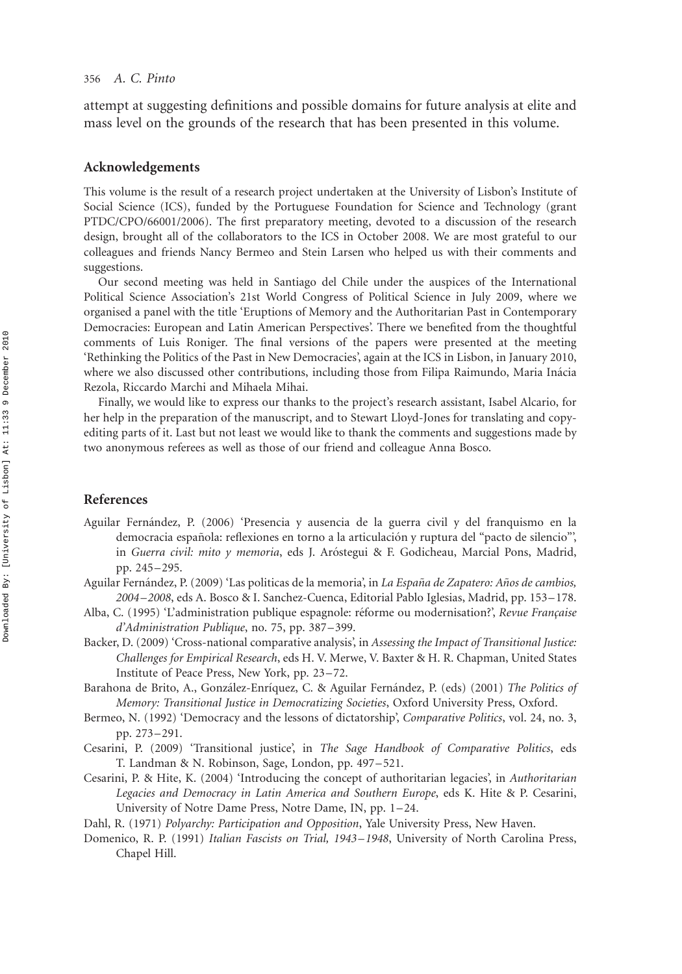attempt at suggesting definitions and possible domains for future analysis at elite and mass level on the grounds of the research that has been presented in this volume.

#### Acknowledgements

This volume is the result of a research project undertaken at the University of Lisbon's Institute of Social Science (ICS), funded by the Portuguese Foundation for Science and Technology (grant PTDC/CPO/66001/2006). The first preparatory meeting, devoted to a discussion of the research design, brought all of the collaborators to the ICS in October 2008. We are most grateful to our colleagues and friends Nancy Bermeo and Stein Larsen who helped us with their comments and suggestions.

Our second meeting was held in Santiago del Chile under the auspices of the International Political Science Association's 21st World Congress of Political Science in July 2009, where we organised a panel with the title 'Eruptions of Memory and the Authoritarian Past in Contemporary Democracies: European and Latin American Perspectives'. There we benefited from the thoughtful comments of Luis Roniger. The final versions of the papers were presented at the meeting 'Rethinking the Politics of the Past in New Democracies', again at the ICS in Lisbon, in January 2010, where we also discussed other contributions, including those from Filipa Raimundo, Maria Inácia Rezola, Riccardo Marchi and Mihaela Mihai.

Finally, we would like to express our thanks to the project's research assistant, Isabel Alcario, for her help in the preparation of the manuscript, and to Stewart Lloyd-Jones for translating and copyediting parts of it. Last but not least we would like to thank the comments and suggestions made by two anonymous referees as well as those of our friend and colleague Anna Bosco.

#### References

- Aguilar Fernández, P. (2006) 'Presencia y ausencia de la guerra civil y del franquismo en la democracia española: reflexiones en torno a la articulación y ruptura del "pacto de silencio", in Guerra civil: mito y memoria, eds J. Aróstegui & F. Godicheau, Marcial Pons, Madrid, pp. 245–295.
- Aguilar Fernández, P. (2009) 'Las politicas de la memoria', in La España de Zapatero: Años de cambios, 2004 –2008, eds A. Bosco & I. Sanchez-Cuenca, Editorial Pablo Iglesias, Madrid, pp. 153–178.
- Alba, C. (1995) 'L'administration publique espagnole: réforme ou modernisation?', Revue Française d'Administration Publique, no. 75, pp. 387–399.
- Backer, D. (2009) 'Cross-national comparative analysis', in Assessing the Impact of Transitional Justice: Challenges for Empirical Research, eds H. V. Merwe, V. Baxter & H. R. Chapman, United States Institute of Peace Press, New York, pp. 23–72.
- Barahona de Brito, A., González-Enríquez, C. & Aguilar Fernández, P. (eds) (2001) The Politics of Memory: Transitional Justice in Democratizing Societies, Oxford University Press, Oxford.
- Bermeo, N. (1992) 'Democracy and the lessons of dictatorship', Comparative Politics, vol. 24, no. 3, pp. 273–291.
- Cesarini, P. (2009) 'Transitional justice', in The Sage Handbook of Comparative Politics, eds T. Landman & N. Robinson, Sage, London, pp. 497–521.
- Cesarini, P. & Hite, K. (2004) 'Introducing the concept of authoritarian legacies', in Authoritarian Legacies and Democracy in Latin America and Southern Europe, eds K. Hite & P. Cesarini, University of Notre Dame Press, Notre Dame, IN, pp. 1–24.
- Dahl, R. (1971) Polyarchy: Participation and Opposition, Yale University Press, New Haven.
- Domenico, R. P. (1991) Italian Fascists on Trial, 1943 –1948, University of North Carolina Press, Chapel Hill.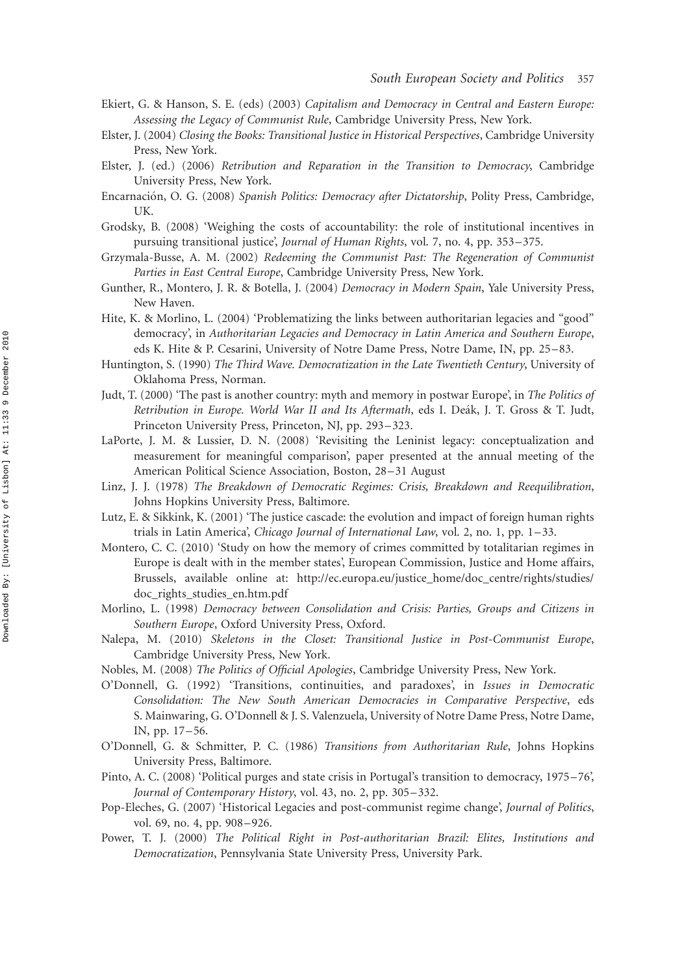- Ekiert, G. & Hanson, S. E. (eds) (2003) Capitalism and Democracy in Central and Eastern Europe: Assessing the Legacy of Communist Rule, Cambridge University Press, New York.
- Elster, J. (2004) Closing the Books: Transitional Justice in Historical Perspectives, Cambridge University Press, New York.
- Elster, J. (ed.) (2006) Retribution and Reparation in the Transition to Democracy, Cambridge University Press, New York.
- Encarnación, O. G. (2008) Spanish Politics: Democracy after Dictatorship, Polity Press, Cambridge, UK.
- Grodsky, B. (2008) 'Weighing the costs of accountability: the role of institutional incentives in pursuing transitional justice', Journal of Human Rights, vol. 7, no. 4, pp. 353–375.

Grzymala-Busse, A. M. (2002) Redeeming the Communist Past: The Regeneration of Communist Parties in East Central Europe, Cambridge University Press, New York.

- Gunther, R., Montero, J. R. & Botella, J. (2004) Democracy in Modern Spain, Yale University Press, New Haven.
- Hite, K. & Morlino, L. (2004) 'Problematizing the links between authoritarian legacies and "good" democracy', in Authoritarian Legacies and Democracy in Latin America and Southern Europe, eds K. Hite & P. Cesarini, University of Notre Dame Press, Notre Dame, IN, pp. 25–83.
- Huntington, S. (1990) The Third Wave. Democratization in the Late Twentieth Century, University of Oklahoma Press, Norman.
- Judt, T. (2000) 'The past is another country: myth and memory in postwar Europe', in The Politics of Retribution in Europe. World War II and Its Aftermath, eds I. Deák, J. T. Gross & T. Judt, Princeton University Press, Princeton, NJ, pp. 293–323.
- LaPorte, J. M. & Lussier, D. N. (2008) 'Revisiting the Leninist legacy: conceptualization and measurement for meaningful comparison', paper presented at the annual meeting of the American Political Science Association, Boston, 28–31 August
- Linz, J. J. (1978) The Breakdown of Democratic Regimes: Crisis, Breakdown and Reequilibration, Johns Hopkins University Press, Baltimore.
- Lutz, E. & Sikkink, K. (2001) 'The justice cascade: the evolution and impact of foreign human rights trials in Latin America', Chicago Journal of International Law, vol. 2, no. 1, pp. 1–33.
- Montero, C. C. (2010) 'Study on how the memory of crimes committed by totalitarian regimes in Europe is dealt with in the member states', European Commission, Justice and Home affairs, Brussels, available online at: http://ec.europa.eu/justice\_home/doc\_centre/rights/studies/ doc\_rights\_studies\_en.htm.pdf
- Morlino, L. (1998) Democracy between Consolidation and Crisis: Parties, Groups and Citizens in Southern Europe, Oxford University Press, Oxford.
- Nalepa, M. (2010) Skeletons in the Closet: Transitional Justice in Post-Communist Europe, Cambridge University Press, New York.
- Nobles, M. (2008) The Politics of Official Apologies, Cambridge University Press, New York.
- O'Donnell, G. (1992) 'Transitions, continuities, and paradoxes', in Issues in Democratic Consolidation: The New South American Democracies in Comparative Perspective, eds S. Mainwaring, G. O'Donnell & J. S. Valenzuela, University of Notre Dame Press, Notre Dame, IN, pp. 17–56.
- O'Donnell, G. & Schmitter, P. C. (1986) Transitions from Authoritarian Rule, Johns Hopkins University Press, Baltimore.
- Pinto, A. C. (2008) 'Political purges and state crisis in Portugal's transition to democracy, 1975–76', Journal of Contemporary History, vol. 43, no. 2, pp. 305–332.
- Pop-Eleches, G. (2007) 'Historical Legacies and post-communist regime change', Journal of Politics, vol. 69, no. 4, pp. 908–926.
- Power, T. J. (2000) The Political Right in Post-authoritarian Brazil: Elites, Institutions and Democratization, Pennsylvania State University Press, University Park.